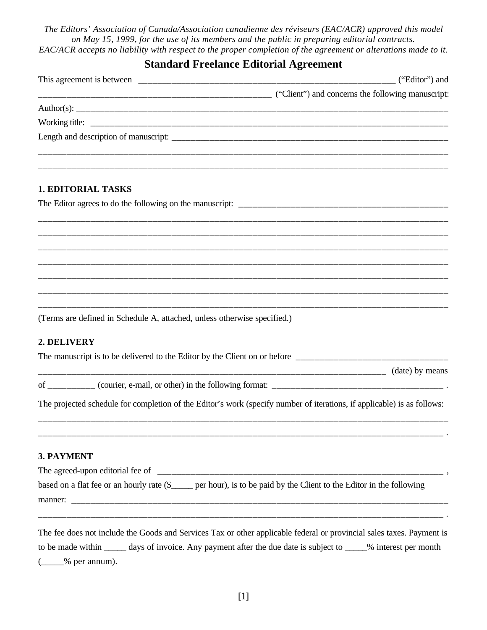*The Editors' Association of Canada/Association canadienne des réviseurs (EAC/ACR) approved this model on May 15, 1999, for the use of its members and the public in preparing editorial contracts. EAC/ACR accepts no liability with respect to the proper completion of the agreement or alterations made to it.*

## **Standard Freelance Editorial Agreement**

| <b>1. EDITORIAL TASKS</b>                                                                                                                                                                                                                 |  |
|-------------------------------------------------------------------------------------------------------------------------------------------------------------------------------------------------------------------------------------------|--|
|                                                                                                                                                                                                                                           |  |
|                                                                                                                                                                                                                                           |  |
|                                                                                                                                                                                                                                           |  |
|                                                                                                                                                                                                                                           |  |
| (Terms are defined in Schedule A, attached, unless otherwise specified.)                                                                                                                                                                  |  |
| 2. DELIVERY                                                                                                                                                                                                                               |  |
| The manuscript is to be delivered to the Editor by the Client on or before ___________________________________                                                                                                                            |  |
|                                                                                                                                                                                                                                           |  |
|                                                                                                                                                                                                                                           |  |
| The projected schedule for completion of the Editor's work (specify number of iterations, if applicable) is as follows:                                                                                                                   |  |
| 3. PAYMENT                                                                                                                                                                                                                                |  |
| The agreed-upon editorial fee of                                                                                                                                                                                                          |  |
| based on a flat fee or an hourly rate $(\S$ per hour), is to be paid by the Client to the Editor in the following                                                                                                                         |  |
| The fee does not include the Goods and Services Tax or other applicable federal or provincial sales taxes. Payment is<br>to be made within ______ days of invoice. Any payment after the due date is subject to _____% interest per month |  |

(\_\_\_\_\_% per annum).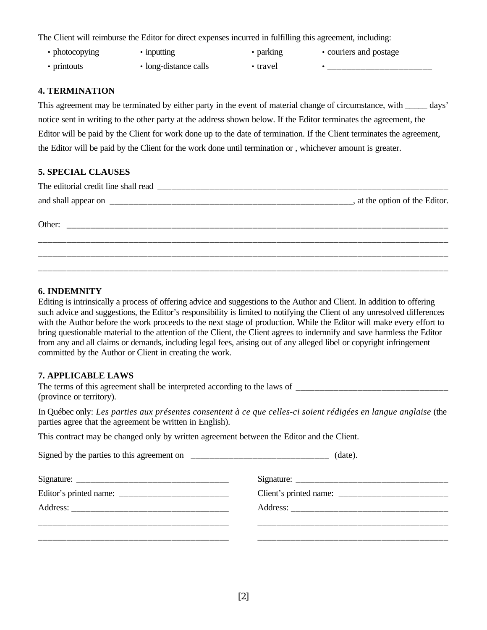The Client will reimburse the Editor for direct expenses incurred in fulfilling this agreement, including:

- photocopying • inputting
- 
- printouts • long-distance calls
- parking
- couriers and postage
- travel

• \_\_\_\_\_\_\_\_\_\_\_\_\_\_\_\_\_\_\_\_\_\_

#### **4. TERMINATION**

This agreement may be terminated by either party in the event of material change of circumstance, with \_\_\_\_\_ days' notice sent in writing to the other party at the address shown below. If the Editor terminates the agreement, the Editor will be paid by the Client for work done up to the date of termination. If the Client terminates the agreement, the Editor will be paid by the Client for the work done until termination or , whichever amount is greater.

#### **5. SPECIAL CLAUSES**

| The editorial credit line shall read |                                 |
|--------------------------------------|---------------------------------|
|                                      | _, at the option of the Editor. |
| Other                                |                                 |
|                                      |                                 |
|                                      |                                 |

#### **6. INDEMNITY**

Editing is intrinsically a process of offering advice and suggestions to the Author and Client. In addition to offering such advice and suggestions, the Editor's responsibility is limited to notifying the Client of any unresolved differences with the Author before the work proceeds to the next stage of production. While the Editor will make every effort to bring questionable material to the attention of the Client, the Client agrees to indemnify and save harmless the Editor from any and all claims or demands, including legal fees, arising out of any alleged libel or copyright infringement committed by the Author or Client in creating the work.

#### **7. APPLICABLE LAWS**

The terms of this agreement shall be interpreted according to the laws of (province or territory).

In Québec only: *Les parties aux présentes consentent à ce que celles-ci soient rédigées en langue anglaise* (the parties agree that the agreement be written in English).

This contract may be changed only by written agreement between the Editor and the Client.

Signed by the parties to this agreement on \_\_\_\_\_\_\_\_\_\_\_\_\_\_\_\_\_\_\_\_\_\_\_\_\_\_\_\_\_ (date).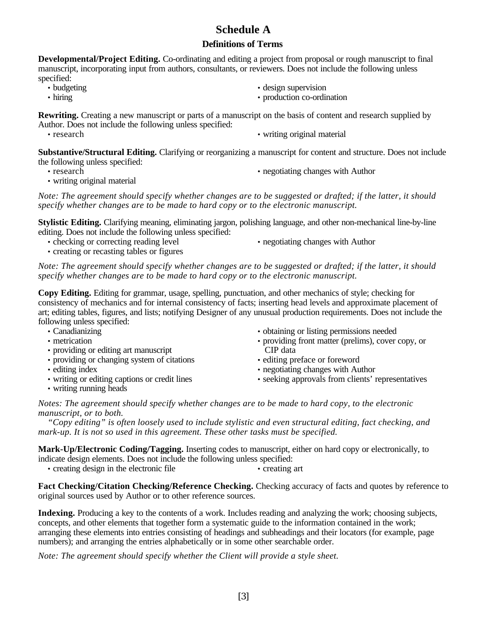# **Schedule A**

### **Definitions of Terms**

**Developmental/Project Editing.** Co-ordinating and editing a project from proposal or rough manuscript to final manuscript, incorporating input from authors, consultants, or reviewers. Does not include the following unless specified:

- budgeting
- hiring
- design supervision
- production co-ordination

**Rewriting.** Creating a new manuscript or parts of a manuscript on the basis of content and research supplied by Author. Does not include the following unless specified:

• research • writing original material

**Substantive/Structural Editing.** Clarifying or reorganizing a manuscript for content and structure. Does not include the following unless specified:

• research

- writing original material
- negotiating changes with Author

*Note: The agreement should specify whether changes are to be suggested or drafted; if the latter, it should specify whether changes are to be made to hard copy or to the electronic manuscript.*

**Stylistic Editing.** Clarifying meaning, eliminating jargon, polishing language, and other non-mechanical line-by-line editing. Does not include the following unless specified:

• checking or correcting reading level

• negotiating changes with Author

• creating or recasting tables or figures

*Note: The agreement should specify whether changes are to be suggested or drafted; if the latter, it should specify whether changes are to be made to hard copy or to the electronic manuscript.*

**Copy Editing.** Editing for grammar, usage, spelling, punctuation, and other mechanics of style; checking for consistency of mechanics and for internal consistency of facts; inserting head levels and approximate placement of art; editing tables, figures, and lists; notifying Designer of any unusual production requirements. Does not include the following unless specified:

• Canadianizing

- metrication
- providing or editing art manuscript
- providing or changing system of citations
- editing index
- writing or editing captions or credit lines
- writing running heads
- obtaining or listing permissions needed
- providing front matter (prelims), cover copy, or CIP data
- editing preface or foreword
- negotiating changes with Author
- seeking approvals from clients' representatives

*Notes: The agreement should specify whether changes are to be made to hard copy, to the electronic manuscript, or to both.*

*"Copy editing" is often loosely used to include stylistic and even structural editing, fact checking, and mark-up. It is not so used in this agreement. These other tasks must be specified.*

**Mark-Up/Electronic Coding/Tagging.** Inserting codes to manuscript, either on hard copy or electronically, to indicate design elements. Does not include the following unless specified:

• creating design in the electronic file • creating art

**Fact Checking/Citation Checking/Reference Checking.** Checking accuracy of facts and quotes by reference to original sources used by Author or to other reference sources.

**Indexing.** Producing a key to the contents of a work. Includes reading and analyzing the work; choosing subjects, concepts, and other elements that together form a systematic guide to the information contained in the work; arranging these elements into entries consisting of headings and subheadings and their locators (for example, page numbers); and arranging the entries alphabetically or in some other searchable order.

*Note: The agreement should specify whether the Client will provide a style sheet.*